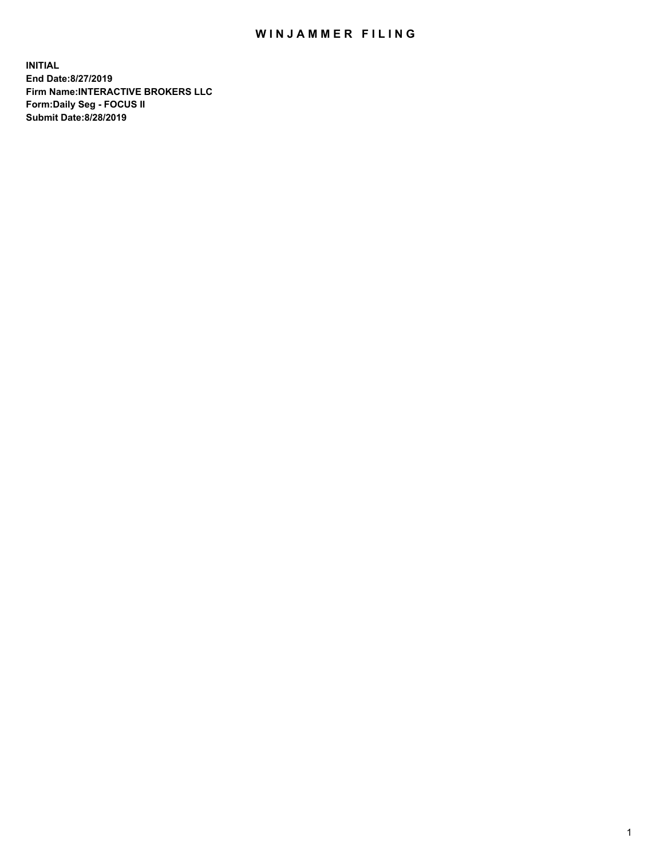## WIN JAMMER FILING

**INITIAL End Date:8/27/2019 Firm Name:INTERACTIVE BROKERS LLC Form:Daily Seg - FOCUS II Submit Date:8/28/2019**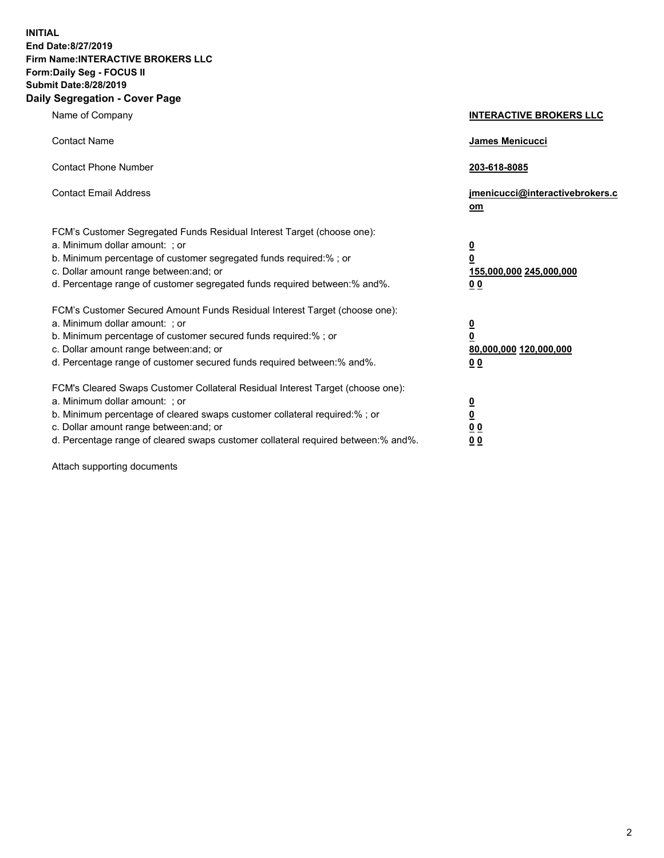**INITIAL End Date:8/27/2019 Firm Name:INTERACTIVE BROKERS LLC Form:Daily Seg - FOCUS II Submit Date:8/28/2019 Daily Segregation - Cover Page**

| Name of Company                                                                                                                                                                                                                                                                                                                | <b>INTERACTIVE BROKERS LLC</b>                                                                  |
|--------------------------------------------------------------------------------------------------------------------------------------------------------------------------------------------------------------------------------------------------------------------------------------------------------------------------------|-------------------------------------------------------------------------------------------------|
| <b>Contact Name</b>                                                                                                                                                                                                                                                                                                            | James Menicucci                                                                                 |
| <b>Contact Phone Number</b>                                                                                                                                                                                                                                                                                                    | 203-618-8085                                                                                    |
| <b>Contact Email Address</b>                                                                                                                                                                                                                                                                                                   | jmenicucci@interactivebrokers.c<br>om                                                           |
| FCM's Customer Segregated Funds Residual Interest Target (choose one):<br>a. Minimum dollar amount: ; or<br>b. Minimum percentage of customer segregated funds required:% ; or<br>c. Dollar amount range between: and; or<br>d. Percentage range of customer segregated funds required between:% and%.                         | $\overline{\mathbf{0}}$<br>$\overline{\mathbf{0}}$<br>155,000,000 245,000,000<br>0 <sub>0</sub> |
| FCM's Customer Secured Amount Funds Residual Interest Target (choose one):<br>a. Minimum dollar amount: ; or<br>b. Minimum percentage of customer secured funds required:% ; or<br>c. Dollar amount range between: and; or<br>d. Percentage range of customer secured funds required between:% and%.                           | $\overline{\mathbf{0}}$<br>0<br>80,000,000 120,000,000<br>0 <sub>0</sub>                        |
| FCM's Cleared Swaps Customer Collateral Residual Interest Target (choose one):<br>a. Minimum dollar amount: ; or<br>b. Minimum percentage of cleared swaps customer collateral required:% ; or<br>c. Dollar amount range between: and; or<br>d. Percentage range of cleared swaps customer collateral required between:% and%. | $\overline{\mathbf{0}}$<br><u>0</u><br>$\underline{0}$ $\underline{0}$<br>00                    |

Attach supporting documents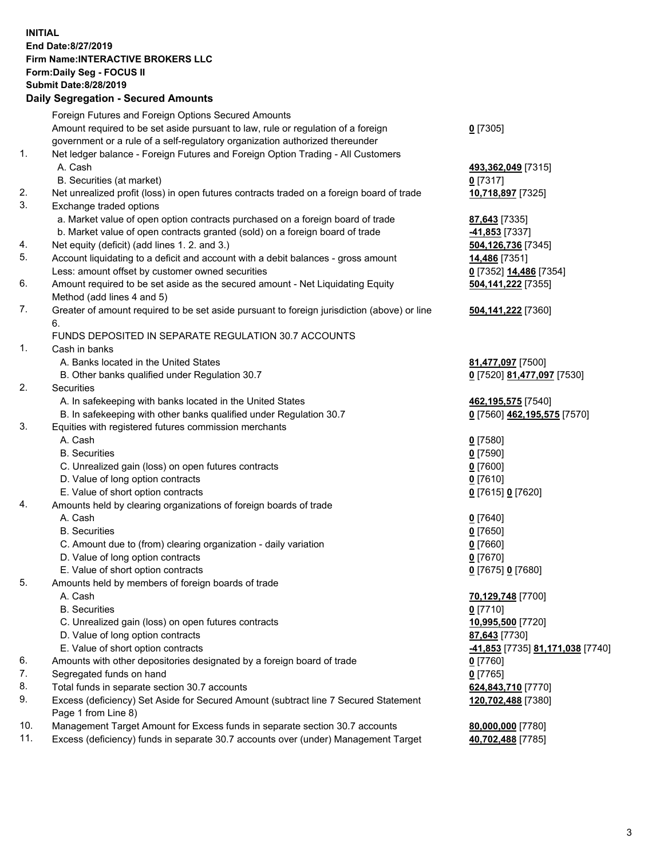## **INITIAL End Date:8/27/2019 Firm Name:INTERACTIVE BROKERS LLC Form:Daily Seg - FOCUS II Submit Date:8/28/2019 Daily Segregation - Secured Amounts**

|     | Daily Jegi egation - Jeculed Alliounts                                                      |                                                      |
|-----|---------------------------------------------------------------------------------------------|------------------------------------------------------|
|     | Foreign Futures and Foreign Options Secured Amounts                                         |                                                      |
|     | Amount required to be set aside pursuant to law, rule or regulation of a foreign            | $0$ [7305]                                           |
|     | government or a rule of a self-regulatory organization authorized thereunder                |                                                      |
| 1.  | Net ledger balance - Foreign Futures and Foreign Option Trading - All Customers             |                                                      |
|     | A. Cash                                                                                     | 493,362,049 [7315]                                   |
|     | B. Securities (at market)                                                                   | 0 [7317]                                             |
| 2.  | Net unrealized profit (loss) in open futures contracts traded on a foreign board of trade   | 10,718,897 [7325]                                    |
| 3.  | Exchange traded options                                                                     |                                                      |
|     | a. Market value of open option contracts purchased on a foreign board of trade              | <b>87,643</b> [7335]                                 |
|     | b. Market value of open contracts granted (sold) on a foreign board of trade                | 41,853 [7337]                                        |
| 4.  | Net equity (deficit) (add lines 1.2. and 3.)                                                | 504,126,736 [7345]                                   |
| 5.  | Account liquidating to a deficit and account with a debit balances - gross amount           | 14,486 [7351]                                        |
|     | Less: amount offset by customer owned securities                                            | 0 [7352] 14,486 [7354]                               |
| 6.  | Amount required to be set aside as the secured amount - Net Liquidating Equity              | 504,141,222 [7355]                                   |
|     | Method (add lines 4 and 5)                                                                  |                                                      |
| 7.  | Greater of amount required to be set aside pursuant to foreign jurisdiction (above) or line | 504,141,222 [7360]                                   |
|     | 6.                                                                                          |                                                      |
|     | FUNDS DEPOSITED IN SEPARATE REGULATION 30.7 ACCOUNTS                                        |                                                      |
| 1.  | Cash in banks                                                                               |                                                      |
|     | A. Banks located in the United States                                                       | 81,477,097 [7500]                                    |
|     | B. Other banks qualified under Regulation 30.7                                              | 0 [7520] 81,477,097 [7530]                           |
| 2.  | Securities                                                                                  |                                                      |
|     | A. In safekeeping with banks located in the United States                                   | 462,195,575 [7540]                                   |
|     | B. In safekeeping with other banks qualified under Regulation 30.7                          | 0 [7560] 462,195,575 [7570]                          |
| 3.  | Equities with registered futures commission merchants                                       |                                                      |
|     | A. Cash                                                                                     | $0$ [7580]                                           |
|     | <b>B.</b> Securities                                                                        | $0$ [7590]                                           |
|     | C. Unrealized gain (loss) on open futures contracts                                         | $0$ [7600]                                           |
|     | D. Value of long option contracts                                                           | $0$ [7610]                                           |
|     | E. Value of short option contracts                                                          | 0 [7615] 0 [7620]                                    |
| 4.  | Amounts held by clearing organizations of foreign boards of trade                           |                                                      |
|     | A. Cash                                                                                     | $0$ [7640]                                           |
|     | <b>B.</b> Securities                                                                        | $0$ [7650]                                           |
|     | C. Amount due to (from) clearing organization - daily variation                             | $0$ [7660]                                           |
|     | D. Value of long option contracts                                                           | $0$ [7670]                                           |
|     | E. Value of short option contracts                                                          | 0 [7675] 0 [7680]                                    |
| 5.  | Amounts held by members of foreign boards of trade                                          |                                                      |
|     | A. Cash                                                                                     | 70,129,748 [7700]                                    |
|     | <b>B.</b> Securities                                                                        | $0$ [7710]                                           |
|     | C. Unrealized gain (loss) on open futures contracts                                         | 10,995,500 [7720]                                    |
|     | D. Value of long option contracts                                                           | 87,643 [7730]                                        |
|     | E. Value of short option contracts                                                          | <mark>-41,853</mark> [7735] <u>81,171,038</u> [7740] |
| 6.  | Amounts with other depositories designated by a foreign board of trade                      | 0 [7760]                                             |
| 7.  | Segregated funds on hand                                                                    | $0$ [7765]                                           |
| 8.  | Total funds in separate section 30.7 accounts                                               | 624,843,710 [7770]                                   |
| 9.  | Excess (deficiency) Set Aside for Secured Amount (subtract line 7 Secured Statement         | 120,702,488 [7380]                                   |
|     | Page 1 from Line 8)                                                                         |                                                      |
| 10. | Management Target Amount for Excess funds in separate section 30.7 accounts                 | 80,000,000 [7780]                                    |
| 11. | Excess (deficiency) funds in separate 30.7 accounts over (under) Management Target          | 40,702,488 [7785]                                    |
|     |                                                                                             |                                                      |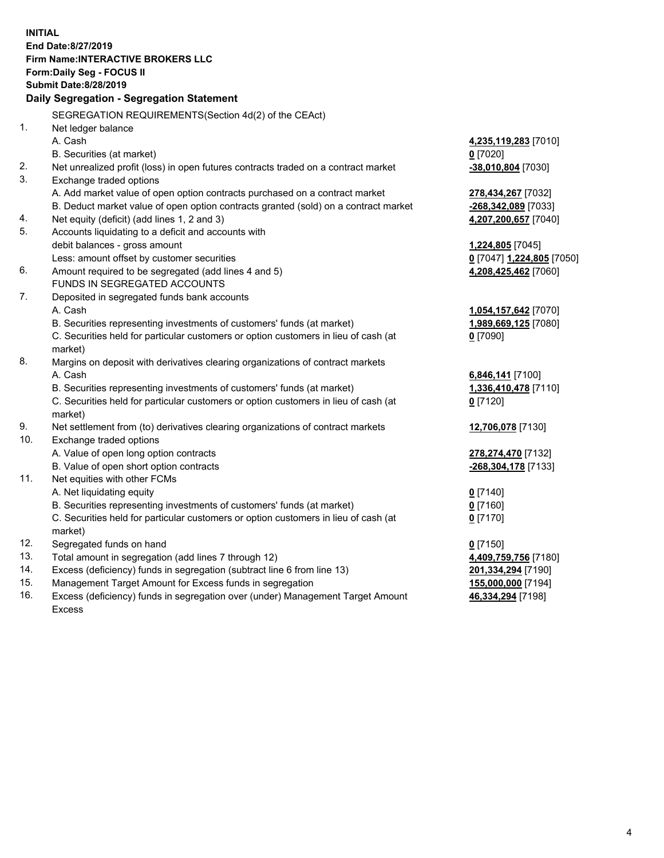**INITIAL End Date:8/27/2019 Firm Name:INTERACTIVE BROKERS LLC Form:Daily Seg - FOCUS II Submit Date:8/28/2019 Daily Segregation - Segregation Statement** SEGREGATION REQUIREMENTS(Section 4d(2) of the CEAct) 1. Net ledger balance A. Cash **4,235,119,283** [7010] B. Securities (at market) **0** [7020] 2. Net unrealized profit (loss) in open futures contracts traded on a contract market **-38,010,804** [7030] 3. Exchange traded options A. Add market value of open option contracts purchased on a contract market **278,434,267** [7032] B. Deduct market value of open option contracts granted (sold) on a contract market **-268,342,089** [7033] 4. Net equity (deficit) (add lines 1, 2 and 3) **4,207,200,657** [7040] 5. Accounts liquidating to a deficit and accounts with debit balances - gross amount **1,224,805** [7045] Less: amount offset by customer securities **0** [7047] **1,224,805** [7050] 6. Amount required to be segregated (add lines 4 and 5) **4,208,425,462** [7060] FUNDS IN SEGREGATED ACCOUNTS 7. Deposited in segregated funds bank accounts A. Cash **1,054,157,642** [7070] B. Securities representing investments of customers' funds (at market) **1,989,669,125** [7080] C. Securities held for particular customers or option customers in lieu of cash (at market) **0** [7090] 8. Margins on deposit with derivatives clearing organizations of contract markets A. Cash **6,846,141** [7100] B. Securities representing investments of customers' funds (at market) **1,336,410,478** [7110] C. Securities held for particular customers or option customers in lieu of cash (at market) **0** [7120] 9. Net settlement from (to) derivatives clearing organizations of contract markets **12,706,078** [7130] 10. Exchange traded options A. Value of open long option contracts **278,274,470** [7132] B. Value of open short option contracts **-268,304,178** [7133] 11. Net equities with other FCMs A. Net liquidating equity **0** [7140] B. Securities representing investments of customers' funds (at market) **0** [7160] C. Securities held for particular customers or option customers in lieu of cash (at market) **0** [7170] 12. Segregated funds on hand **0** [7150] 13. Total amount in segregation (add lines 7 through 12) **4,409,759,756** [7180] 14. Excess (deficiency) funds in segregation (subtract line 6 from line 13) **201,334,294** [7190] 15. Management Target Amount for Excess funds in segregation **155,000,000** [7194]

16. Excess (deficiency) funds in segregation over (under) Management Target Amount Excess

**46,334,294** [7198]